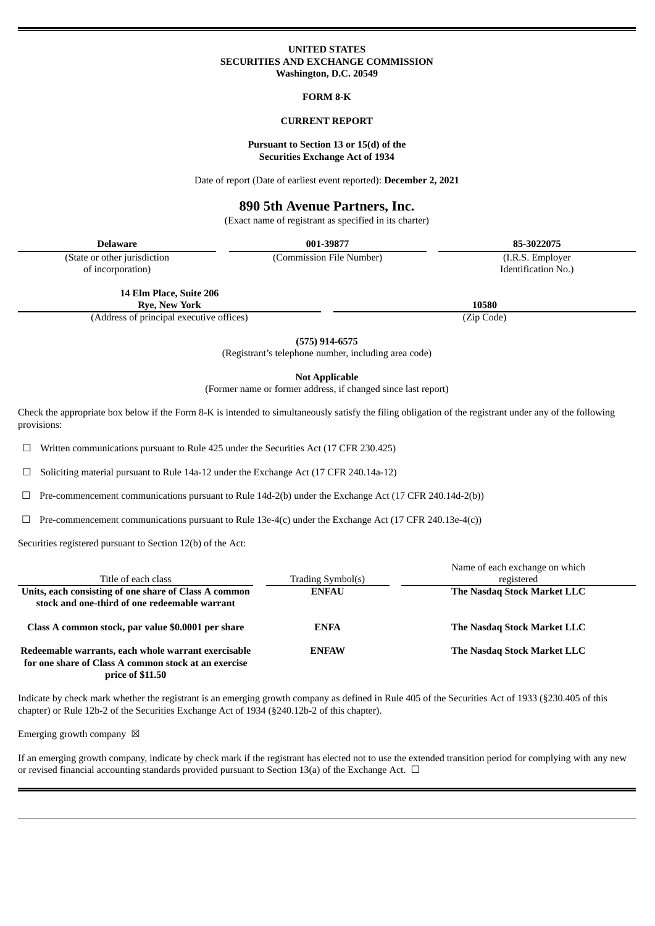## **UNITED STATES SECURITIES AND EXCHANGE COMMISSION Washington, D.C. 20549**

## **FORM 8-K**

## **CURRENT REPORT**

## **Pursuant to Section 13 or 15(d) of the Securities Exchange Act of 1934**

Date of report (Date of earliest event reported): **December 2, 2021**

# **890 5th Avenue Partners, Inc.**

(Exact name of registrant as specified in its charter)

| Delaware                      | 001-39877                | 85-3022075          |
|-------------------------------|--------------------------|---------------------|
| (State or other jurisdiction) | (Commission File Number) | (I.R.S. Employer)   |
| of incorporation)             |                          | Identification No.) |

**14 Elm Place, Suite 206**

**Rye, New York 10580**

(Address of principal executive offices) (Zip Code)

**(575) 914-6575**

(Registrant's telephone number, including area code)

**Not Applicable**

(Former name or former address, if changed since last report)

Check the appropriate box below if the Form 8-K is intended to simultaneously satisfy the filing obligation of the registrant under any of the following provisions:

☐ Written communications pursuant to Rule 425 under the Securities Act (17 CFR 230.425)

☐ Soliciting material pursuant to Rule 14a-12 under the Exchange Act (17 CFR 240.14a-12)

 $\Box$  Pre-commencement communications pursuant to Rule 14d-2(b) under the Exchange Act (17 CFR 240.14d-2(b))

 $\Box$  Pre-commencement communications pursuant to Rule 13e-4(c) under the Exchange Act (17 CFR 240.13e-4(c))

Securities registered pursuant to Section 12(b) of the Act:

|                                                                                                                                        |                   | Name of each exchange on which |
|----------------------------------------------------------------------------------------------------------------------------------------|-------------------|--------------------------------|
| Title of each class                                                                                                                    | Trading Symbol(s) | registered                     |
| Units, each consisting of one share of Class A common<br>stock and one-third of one redeemable warrant                                 | <b>ENFAU</b>      | The Nasdag Stock Market LLC    |
| Class A common stock, par value \$0.0001 per share                                                                                     | <b>ENFA</b>       | The Nasdag Stock Market LLC    |
| Redeemable warrants, each whole warrant exercisable<br>for one share of Class A common stock at an exercise<br><b>price of \$11.50</b> | <b>ENFAW</b>      | The Nasdag Stock Market LLC    |

Indicate by check mark whether the registrant is an emerging growth company as defined in Rule 405 of the Securities Act of 1933 (§230.405 of this chapter) or Rule 12b-2 of the Securities Exchange Act of 1934 (§240.12b-2 of this chapter).

Emerging growth company  $\boxtimes$ 

If an emerging growth company, indicate by check mark if the registrant has elected not to use the extended transition period for complying with any new or revised financial accounting standards provided pursuant to Section 13(a) of the Exchange Act.  $\Box$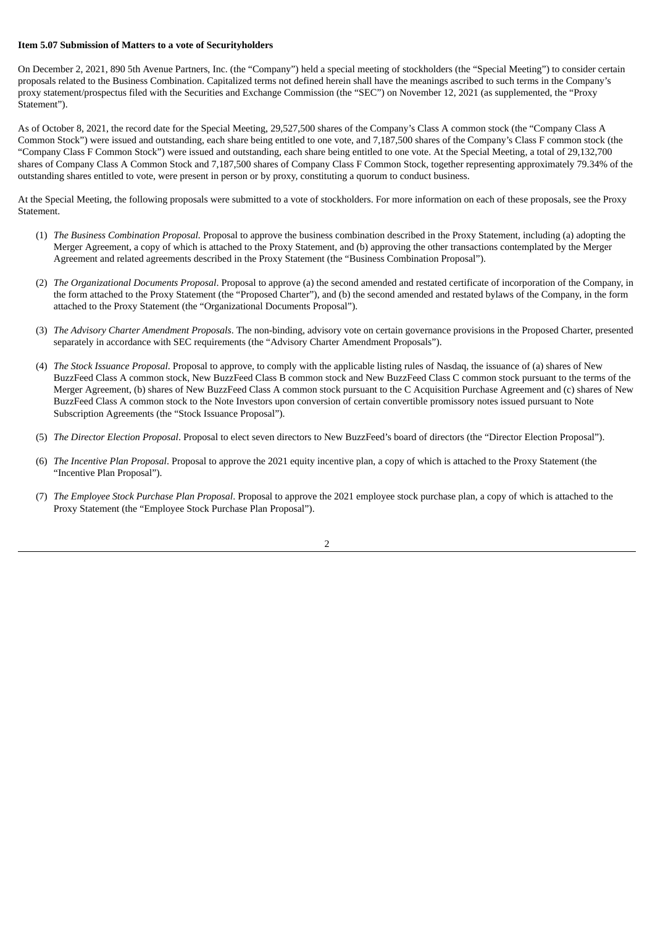### **Item 5.07 Submission of Matters to a vote of Securityholders**

On December 2, 2021, 890 5th Avenue Partners, Inc. (the "Company") held a special meeting of stockholders (the "Special Meeting") to consider certain proposals related to the Business Combination. Capitalized terms not defined herein shall have the meanings ascribed to such terms in the Company's proxy statement/prospectus filed with the Securities and Exchange Commission (the "SEC") on November 12, 2021 (as supplemented, the "Proxy Statement").

As of October 8, 2021, the record date for the Special Meeting, 29,527,500 shares of the Company's Class A common stock (the "Company Class A Common Stock") were issued and outstanding, each share being entitled to one vote, and 7,187,500 shares of the Company's Class F common stock (the "Company Class F Common Stock") were issued and outstanding, each share being entitled to one vote. At the Special Meeting, a total of 29,132,700 shares of Company Class A Common Stock and 7,187,500 shares of Company Class F Common Stock, together representing approximately 79.34% of the outstanding shares entitled to vote, were present in person or by proxy, constituting a quorum to conduct business.

At the Special Meeting, the following proposals were submitted to a vote of stockholders. For more information on each of these proposals, see the Proxy Statement.

- (1) *The Business Combination Proposal.* Proposal to approve the business combination described in the Proxy Statement, including (a) adopting the Merger Agreement, a copy of which is attached to the Proxy Statement, and (b) approving the other transactions contemplated by the Merger Agreement and related agreements described in the Proxy Statement (the "Business Combination Proposal").
- (2) *The Organizational Documents Proposal*. Proposal to approve (a) the second amended and restated certificate of incorporation of the Company, in the form attached to the Proxy Statement (the "Proposed Charter"), and (b) the second amended and restated bylaws of the Company, in the form attached to the Proxy Statement (the "Organizational Documents Proposal").
- (3) *The Advisory Charter Amendment Proposals*. The non-binding, advisory vote on certain governance provisions in the Proposed Charter, presented separately in accordance with SEC requirements (the "Advisory Charter Amendment Proposals").
- (4) *The Stock Issuance Proposal*. Proposal to approve, to comply with the applicable listing rules of Nasdaq, the issuance of (a) shares of New BuzzFeed Class A common stock, New BuzzFeed Class B common stock and New BuzzFeed Class C common stock pursuant to the terms of the Merger Agreement, (b) shares of New BuzzFeed Class A common stock pursuant to the C Acquisition Purchase Agreement and (c) shares of New BuzzFeed Class A common stock to the Note Investors upon conversion of certain convertible promissory notes issued pursuant to Note Subscription Agreements (the "Stock Issuance Proposal").
- (5) *The Director Election Proposal*. Proposal to elect seven directors to New BuzzFeed's board of directors (the "Director Election Proposal").
- (6) *The Incentive Plan Proposal*. Proposal to approve the 2021 equity incentive plan, a copy of which is attached to the Proxy Statement (the "Incentive Plan Proposal").
- (7) *The Employee Stock Purchase Plan Proposal*. Proposal to approve the 2021 employee stock purchase plan, a copy of which is attached to the Proxy Statement (the "Employee Stock Purchase Plan Proposal").

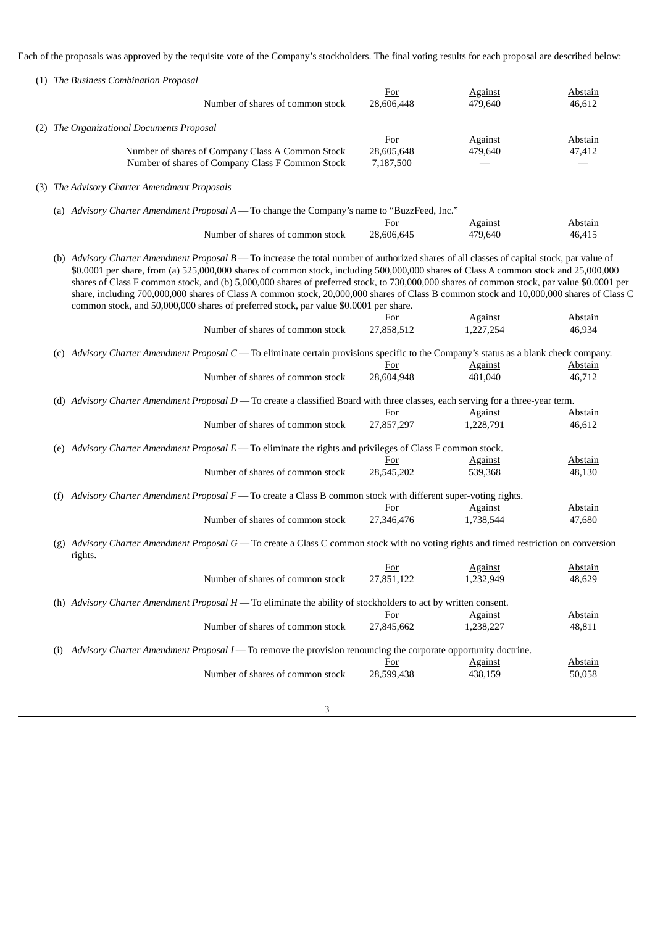Each of the proposals was approved by the requisite vote of the Company's stockholders. The final voting results for each proposal are described below:

|                                                                                              |                   | (1) The Business Combination Proposal                                                                                                                                                                                                                                                                                                                                                                                                                                                                                                                                      |                          |                             |                          |
|----------------------------------------------------------------------------------------------|-------------------|----------------------------------------------------------------------------------------------------------------------------------------------------------------------------------------------------------------------------------------------------------------------------------------------------------------------------------------------------------------------------------------------------------------------------------------------------------------------------------------------------------------------------------------------------------------------------|--------------------------|-----------------------------|--------------------------|
|                                                                                              |                   |                                                                                                                                                                                                                                                                                                                                                                                                                                                                                                                                                                            | <u>For</u>               | <u>Against</u>              | <b>Abstain</b>           |
|                                                                                              |                   | Number of shares of common stock                                                                                                                                                                                                                                                                                                                                                                                                                                                                                                                                           | 28,606,448               | 479,640                     | 46,612                   |
|                                                                                              |                   | (2) The Organizational Documents Proposal                                                                                                                                                                                                                                                                                                                                                                                                                                                                                                                                  |                          |                             |                          |
|                                                                                              |                   |                                                                                                                                                                                                                                                                                                                                                                                                                                                                                                                                                                            | <b>For</b>               | <b>Against</b>              | <b>Abstain</b>           |
|                                                                                              |                   | Number of shares of Company Class A Common Stock                                                                                                                                                                                                                                                                                                                                                                                                                                                                                                                           | 28,605,648               | 479,640                     | 47,412                   |
|                                                                                              |                   | Number of shares of Company Class F Common Stock                                                                                                                                                                                                                                                                                                                                                                                                                                                                                                                           | 7,187,500                |                             |                          |
|                                                                                              |                   | (3) The Advisory Charter Amendment Proposals                                                                                                                                                                                                                                                                                                                                                                                                                                                                                                                               |                          |                             |                          |
| (a) Advisory Charter Amendment Proposal A - To change the Company's name to "BuzzFeed, Inc." |                   |                                                                                                                                                                                                                                                                                                                                                                                                                                                                                                                                                                            |                          |                             |                          |
|                                                                                              |                   |                                                                                                                                                                                                                                                                                                                                                                                                                                                                                                                                                                            | For                      | <b>Against</b>              | <b>Abstain</b>           |
|                                                                                              |                   | Number of shares of common stock                                                                                                                                                                                                                                                                                                                                                                                                                                                                                                                                           | 28,606,645               | 479,640                     | 46,415                   |
|                                                                                              |                   | (b) Advisory Charter Amendment Proposal B-To increase the total number of authorized shares of all classes of capital stock, par value of<br>\$0.0001 per share, from (a) 525,000,000 shares of common stock, including 500,000,000 shares of Class A common stock and 25,000,000<br>shares of Class F common stock, and (b) 5,000,000 shares of preferred stock, to 730,000,000 shares of common stock, par value \$0.0001 per<br>share, including 700,000,000 shares of Class A common stock, 20,000,000 shares of Class B common stock and 10,000,000 shares of Class C |                          |                             |                          |
|                                                                                              |                   | common stock, and 50,000,000 shares of preferred stock, par value \$0.0001 per share.                                                                                                                                                                                                                                                                                                                                                                                                                                                                                      |                          |                             |                          |
|                                                                                              |                   |                                                                                                                                                                                                                                                                                                                                                                                                                                                                                                                                                                            | <u>For</u>               | <b>Against</b>              | <u>Abstain</u>           |
|                                                                                              |                   | Number of shares of common stock                                                                                                                                                                                                                                                                                                                                                                                                                                                                                                                                           | 27,858,512               | 1,227,254                   | 46,934                   |
|                                                                                              |                   | (c) Advisory Charter Amendment Proposal C - To eliminate certain provisions specific to the Company's status as a blank check company.                                                                                                                                                                                                                                                                                                                                                                                                                                     |                          |                             |                          |
|                                                                                              |                   |                                                                                                                                                                                                                                                                                                                                                                                                                                                                                                                                                                            | <u>For</u>               | <b>Against</b>              | <b>Abstain</b>           |
|                                                                                              |                   | Number of shares of common stock                                                                                                                                                                                                                                                                                                                                                                                                                                                                                                                                           | 28,604,948               | 481,040                     | 46,712                   |
|                                                                                              |                   | (d) Advisory Charter Amendment Proposal D - To create a classified Board with three classes, each serving for a three-year term.                                                                                                                                                                                                                                                                                                                                                                                                                                           |                          |                             |                          |
|                                                                                              |                   | Number of shares of common stock                                                                                                                                                                                                                                                                                                                                                                                                                                                                                                                                           | <u>For</u><br>27,857,297 | <b>Against</b><br>1,228,791 | <b>Abstain</b><br>46,612 |
|                                                                                              |                   | (e) Advisory Charter Amendment Proposal $E$ — To eliminate the rights and privileges of Class F common stock.                                                                                                                                                                                                                                                                                                                                                                                                                                                              |                          |                             |                          |
|                                                                                              |                   |                                                                                                                                                                                                                                                                                                                                                                                                                                                                                                                                                                            | <u>For</u>               | <b>Against</b>              | <b>Abstain</b>           |
|                                                                                              |                   | Number of shares of common stock                                                                                                                                                                                                                                                                                                                                                                                                                                                                                                                                           | 28,545,202               | 539,368                     | 48,130                   |
|                                                                                              |                   |                                                                                                                                                                                                                                                                                                                                                                                                                                                                                                                                                                            |                          |                             |                          |
|                                                                                              | (f)               | Advisory Charter Amendment Proposal F - To create a Class B common stock with different super-voting rights.                                                                                                                                                                                                                                                                                                                                                                                                                                                               |                          |                             |                          |
|                                                                                              |                   |                                                                                                                                                                                                                                                                                                                                                                                                                                                                                                                                                                            | <u>For</u>               | <b>Against</b>              | <b>Abstain</b>           |
|                                                                                              |                   | Number of shares of common stock                                                                                                                                                                                                                                                                                                                                                                                                                                                                                                                                           | 27,346,476               | 1,738,544                   | 47,680                   |
|                                                                                              |                   | (g) Advisory Charter Amendment Proposal G - To create a Class C common stock with no voting rights and timed restriction on conversion<br>rights.                                                                                                                                                                                                                                                                                                                                                                                                                          |                          |                             |                          |
|                                                                                              |                   |                                                                                                                                                                                                                                                                                                                                                                                                                                                                                                                                                                            | For                      | <u>Against</u>              | <u>Abstain</u>           |
|                                                                                              |                   | Number of shares of common stock                                                                                                                                                                                                                                                                                                                                                                                                                                                                                                                                           | 27,851,122               | 1,232,949                   | 48,629                   |
|                                                                                              |                   | (h) Advisory Charter Amendment Proposal $H$ — To eliminate the ability of stockholders to act by written consent.                                                                                                                                                                                                                                                                                                                                                                                                                                                          |                          |                             |                          |
|                                                                                              |                   |                                                                                                                                                                                                                                                                                                                                                                                                                                                                                                                                                                            | <b>For</b>               | <b>Against</b>              | <b>Abstain</b>           |
|                                                                                              |                   | Number of shares of common stock                                                                                                                                                                                                                                                                                                                                                                                                                                                                                                                                           | 27,845,662               | 1,238,227                   | 48,811                   |
|                                                                                              |                   |                                                                                                                                                                                                                                                                                                                                                                                                                                                                                                                                                                            |                          |                             |                          |
|                                                                                              | $\left( 1\right)$ | Advisory Charter Amendment Proposal I — To remove the provision renouncing the corporate opportunity doctrine.                                                                                                                                                                                                                                                                                                                                                                                                                                                             |                          |                             |                          |
|                                                                                              |                   |                                                                                                                                                                                                                                                                                                                                                                                                                                                                                                                                                                            | <u>For</u>               | <b>Against</b>              | <b>Abstain</b>           |
|                                                                                              |                   | Number of shares of common stock                                                                                                                                                                                                                                                                                                                                                                                                                                                                                                                                           | 28,599,438               | 438,159                     | 50,058                   |
|                                                                                              |                   |                                                                                                                                                                                                                                                                                                                                                                                                                                                                                                                                                                            |                          |                             |                          |

3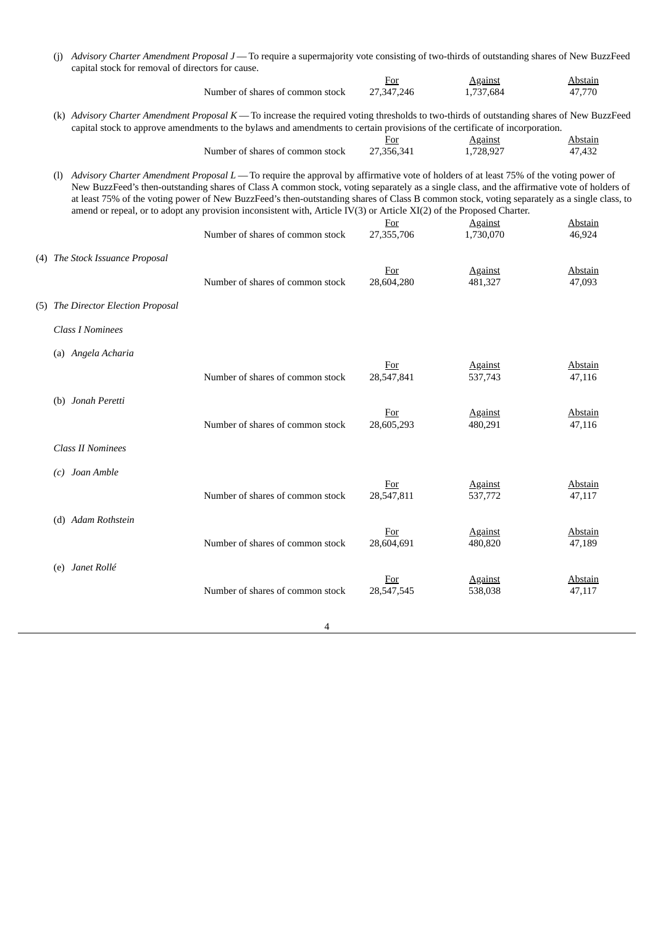|     | (j) Advisory Charter Amendment Proposal J — To require a supermajority vote consisting of two-thirds of outstanding shares of New BuzzFeed<br>capital stock for removal of directors for cause.                                                                           |                                                                                                                                                                                                                                                                                                                                                                                                                                                                                                                                                              |                          |                           |                          |
|-----|---------------------------------------------------------------------------------------------------------------------------------------------------------------------------------------------------------------------------------------------------------------------------|--------------------------------------------------------------------------------------------------------------------------------------------------------------------------------------------------------------------------------------------------------------------------------------------------------------------------------------------------------------------------------------------------------------------------------------------------------------------------------------------------------------------------------------------------------------|--------------------------|---------------------------|--------------------------|
|     |                                                                                                                                                                                                                                                                           |                                                                                                                                                                                                                                                                                                                                                                                                                                                                                                                                                              | <b>For</b>               | <b>Against</b>            | <b>Abstain</b>           |
|     |                                                                                                                                                                                                                                                                           | Number of shares of common stock                                                                                                                                                                                                                                                                                                                                                                                                                                                                                                                             | 27,347,246               | 1,737,684                 | 47,770                   |
|     | (k) Advisory Charter Amendment Proposal K - To increase the required voting thresholds to two-thirds of outstanding shares of New BuzzFeed<br>capital stock to approve amendments to the bylaws and amendments to certain provisions of the certificate of incorporation. |                                                                                                                                                                                                                                                                                                                                                                                                                                                                                                                                                              |                          |                           |                          |
|     |                                                                                                                                                                                                                                                                           |                                                                                                                                                                                                                                                                                                                                                                                                                                                                                                                                                              | For                      | <b>Against</b>            | Abstain                  |
|     |                                                                                                                                                                                                                                                                           | Number of shares of common stock                                                                                                                                                                                                                                                                                                                                                                                                                                                                                                                             | 27,356,341               | 1,728,927                 | 47,432                   |
| (1) |                                                                                                                                                                                                                                                                           | Advisory Charter Amendment Proposal L — To require the approval by affirmative vote of holders of at least 75% of the voting power of<br>New BuzzFeed's then-outstanding shares of Class A common stock, voting separately as a single class, and the affirmative vote of holders of<br>at least 75% of the voting power of New BuzzFeed's then-outstanding shares of Class B common stock, voting separately as a single class, to<br>amend or repeal, or to adopt any provision inconsistent with, Article IV(3) or Article XI(2) of the Proposed Charter. | <u>For</u>               | <b>Against</b>            | <b>Abstain</b>           |
|     |                                                                                                                                                                                                                                                                           | Number of shares of common stock                                                                                                                                                                                                                                                                                                                                                                                                                                                                                                                             | 27,355,706               | 1,730,070                 | 46,924                   |
|     | (4) The Stock Issuance Proposal                                                                                                                                                                                                                                           | Number of shares of common stock                                                                                                                                                                                                                                                                                                                                                                                                                                                                                                                             | <u>For</u><br>28,604,280 | <b>Against</b><br>481,327 | <b>Abstain</b><br>47,093 |
|     |                                                                                                                                                                                                                                                                           |                                                                                                                                                                                                                                                                                                                                                                                                                                                                                                                                                              |                          |                           |                          |
|     | (5) The Director Election Proposal                                                                                                                                                                                                                                        |                                                                                                                                                                                                                                                                                                                                                                                                                                                                                                                                                              |                          |                           |                          |
|     | <b>Class I Nominees</b>                                                                                                                                                                                                                                                   |                                                                                                                                                                                                                                                                                                                                                                                                                                                                                                                                                              |                          |                           |                          |
|     | (a) Angela Acharia                                                                                                                                                                                                                                                        |                                                                                                                                                                                                                                                                                                                                                                                                                                                                                                                                                              |                          |                           |                          |
|     |                                                                                                                                                                                                                                                                           | Number of shares of common stock                                                                                                                                                                                                                                                                                                                                                                                                                                                                                                                             | <u>For</u><br>28,547,841 | <u>Against</u><br>537,743 | <b>Abstain</b><br>47,116 |
|     | (b) Jonah Peretti                                                                                                                                                                                                                                                         |                                                                                                                                                                                                                                                                                                                                                                                                                                                                                                                                                              | <b>For</b>               | <b>Against</b>            | <b>Abstain</b>           |
|     |                                                                                                                                                                                                                                                                           | Number of shares of common stock                                                                                                                                                                                                                                                                                                                                                                                                                                                                                                                             | 28,605,293               | 480,291                   | 47,116                   |
|     | <b>Class II Nominees</b>                                                                                                                                                                                                                                                  |                                                                                                                                                                                                                                                                                                                                                                                                                                                                                                                                                              |                          |                           |                          |
| (c) | Joan Amble                                                                                                                                                                                                                                                                |                                                                                                                                                                                                                                                                                                                                                                                                                                                                                                                                                              |                          |                           |                          |
|     |                                                                                                                                                                                                                                                                           | Number of shares of common stock                                                                                                                                                                                                                                                                                                                                                                                                                                                                                                                             | <u>For</u><br>28,547,811 | <u>Against</u><br>537,772 | <b>Abstain</b><br>47,117 |
|     | (d) Adam Rothstein                                                                                                                                                                                                                                                        |                                                                                                                                                                                                                                                                                                                                                                                                                                                                                                                                                              |                          |                           |                          |
|     |                                                                                                                                                                                                                                                                           |                                                                                                                                                                                                                                                                                                                                                                                                                                                                                                                                                              | For                      | <b>Against</b>            | Abstain                  |
|     |                                                                                                                                                                                                                                                                           | Number of shares of common stock                                                                                                                                                                                                                                                                                                                                                                                                                                                                                                                             | 28,604,691               | 480,820                   | 47,189                   |
|     | (e) Janet Rollé                                                                                                                                                                                                                                                           |                                                                                                                                                                                                                                                                                                                                                                                                                                                                                                                                                              |                          |                           |                          |
|     |                                                                                                                                                                                                                                                                           |                                                                                                                                                                                                                                                                                                                                                                                                                                                                                                                                                              | <b>For</b>               | <b>Against</b>            | <b>Abstain</b>           |
|     |                                                                                                                                                                                                                                                                           | Number of shares of common stock                                                                                                                                                                                                                                                                                                                                                                                                                                                                                                                             | 28,547,545               | 538,038                   | 47,117                   |
|     |                                                                                                                                                                                                                                                                           |                                                                                                                                                                                                                                                                                                                                                                                                                                                                                                                                                              |                          |                           |                          |
|     |                                                                                                                                                                                                                                                                           | 4                                                                                                                                                                                                                                                                                                                                                                                                                                                                                                                                                            |                          |                           |                          |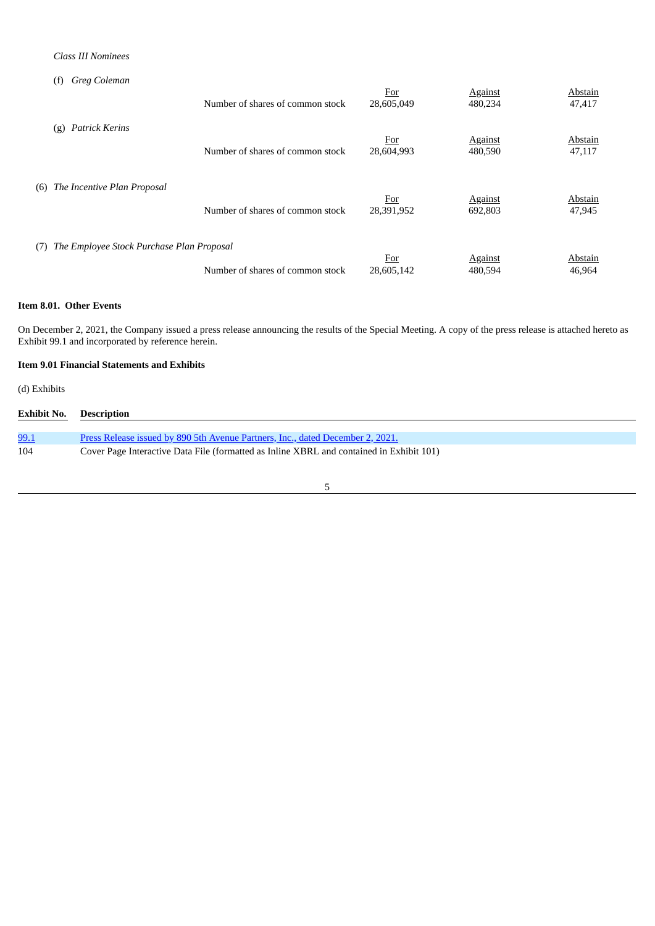# *Class III Nominees*

| Greg Coleman<br>(f)                       |                                  |                   |                           |                   |
|-------------------------------------------|----------------------------------|-------------------|---------------------------|-------------------|
|                                           | Number of shares of common stock | For<br>28,605,049 | <b>Against</b><br>480,234 | Abstain<br>47,417 |
| <b>Patrick Kerins</b>                     | Number of shares of common stock | For               | <b>Against</b>            | Abstain           |
| (g)                                       |                                  | 28,604,993        | 480,590                   | 47,117            |
| The Incentive Plan Proposal               | Number of shares of common stock | <u>For</u>        | <b>Against</b>            | Abstain           |
| (6)                                       |                                  | 28,391,952        | 692,803                   | 47,945            |
| The Employee Stock Purchase Plan Proposal | Number of shares of common stock | <u>For</u>        | <b>Against</b>            | Abstain           |
| (7)                                       |                                  | 28,605,142        | 480,594                   | 46,964            |

## **Item 8.01. Other Events**

On December 2, 2021, the Company issued a press release announcing the results of the Special Meeting. A copy of the press release is attached hereto as Exhibit 99.1 and incorporated by reference herein.

# **Item 9.01 Financial Statements and Exhibits**

(d) Exhibits

| <b>Exhibit No.</b> | Description                                                                              |
|--------------------|------------------------------------------------------------------------------------------|
|                    |                                                                                          |
| <u>99.1</u>        | Press Release issued by 890 5th Avenue Partners, Inc., dated December 2, 2021.           |
| 104                | Cover Page Interactive Data File (formatted as Inline XBRL and contained in Exhibit 101) |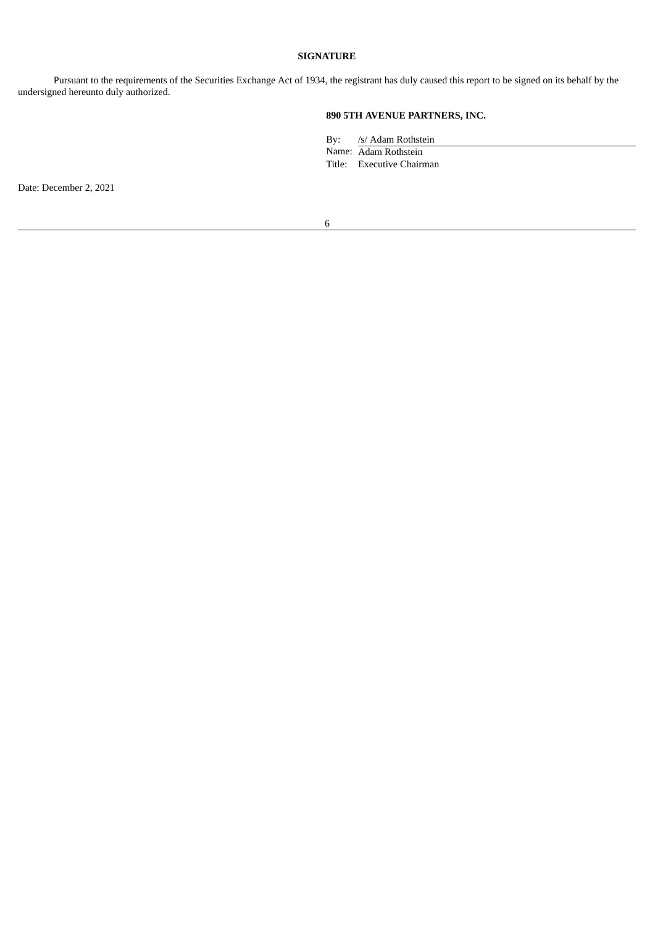# **SIGNATURE**

Pursuant to the requirements of the Securities Exchange Act of 1934, the registrant has duly caused this report to be signed on its behalf by the undersigned hereunto duly authorized.

# **890 5TH AVENUE PARTNERS, INC.**

By: /s/ Adam Rothstein

Name: Adam Rothstein Title: Executive Chairman

Date: December 2, 2021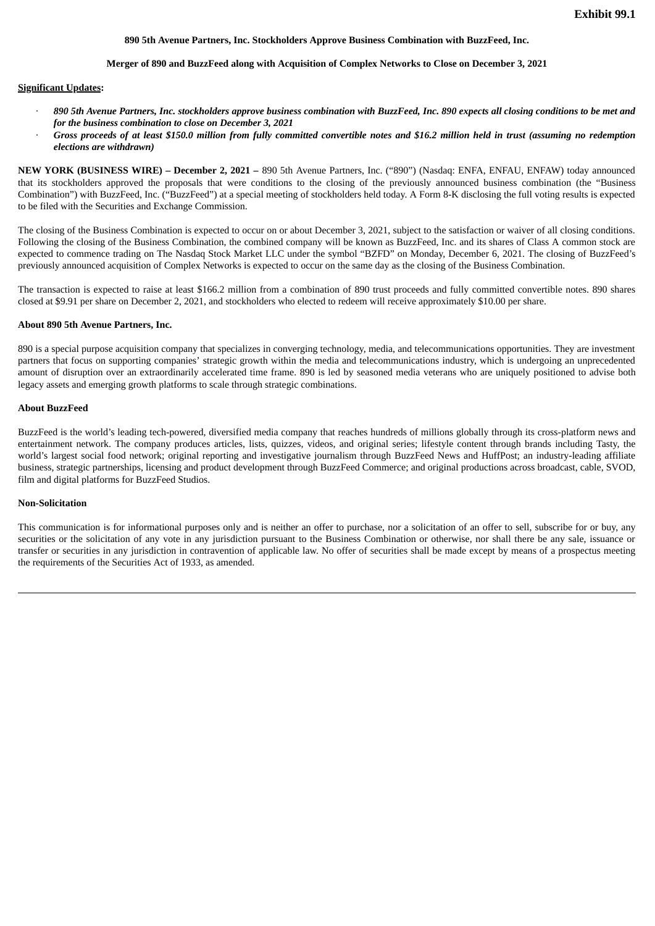## **890 5th Avenue Partners, Inc. Stockholders Approve Business Combination with BuzzFeed, Inc.**

#### **Merger of 890 and BuzzFeed along with Acquisition of Complex Networks to Close on December 3, 2021**

#### <span id="page-6-0"></span>**Significant Updates:**

- 890 5th Avenue Partners, Inc. stockholders approve business combination with BuzzFeed, Inc. 890 expects all closing conditions to be met and *for the business combination to close on December 3, 2021*
- Gross proceeds of at least \$150.0 million from fully committed convertible notes and \$16.2 million held in trust (assuming no redemption *elections are withdrawn)*

**NEW YORK (BUSINESS WIRE) – December 2, 2021 –** 890 5th Avenue Partners, Inc. ("890") (Nasdaq: ENFA, ENFAU, ENFAW) today announced that its stockholders approved the proposals that were conditions to the closing of the previously announced business combination (the "Business Combination") with BuzzFeed, Inc. ("BuzzFeed") at a special meeting of stockholders held today. A Form 8-K disclosing the full voting results is expected to be filed with the Securities and Exchange Commission.

The closing of the Business Combination is expected to occur on or about December 3, 2021, subject to the satisfaction or waiver of all closing conditions. Following the closing of the Business Combination, the combined company will be known as BuzzFeed, Inc. and its shares of Class A common stock are expected to commence trading on The Nasdaq Stock Market LLC under the symbol "BZFD" on Monday, December 6, 2021. The closing of BuzzFeed's previously announced acquisition of Complex Networks is expected to occur on the same day as the closing of the Business Combination.

The transaction is expected to raise at least \$166.2 million from a combination of 890 trust proceeds and fully committed convertible notes. 890 shares closed at \$9.91 per share on December 2, 2021, and stockholders who elected to redeem will receive approximately \$10.00 per share.

#### **About 890 5th Avenue Partners, Inc.**

890 is a special purpose acquisition company that specializes in converging technology, media, and telecommunications opportunities. They are investment partners that focus on supporting companies' strategic growth within the media and telecommunications industry, which is undergoing an unprecedented amount of disruption over an extraordinarily accelerated time frame. 890 is led by seasoned media veterans who are uniquely positioned to advise both legacy assets and emerging growth platforms to scale through strategic combinations.

## **About BuzzFeed**

BuzzFeed is the world's leading tech-powered, diversified media company that reaches hundreds of millions globally through its cross-platform news and entertainment network. The company produces articles, lists, quizzes, videos, and original series; lifestyle content through brands including Tasty, the world's largest social food network; original reporting and investigative journalism through BuzzFeed News and HuffPost; an industry-leading affiliate business, strategic partnerships, licensing and product development through BuzzFeed Commerce; and original productions across broadcast, cable, SVOD, film and digital platforms for BuzzFeed Studios.

### **Non-Solicitation**

This communication is for informational purposes only and is neither an offer to purchase, nor a solicitation of an offer to sell, subscribe for or buy, any securities or the solicitation of any vote in any jurisdiction pursuant to the Business Combination or otherwise, nor shall there be any sale, issuance or transfer or securities in any jurisdiction in contravention of applicable law. No offer of securities shall be made except by means of a prospectus meeting the requirements of the Securities Act of 1933, as amended.